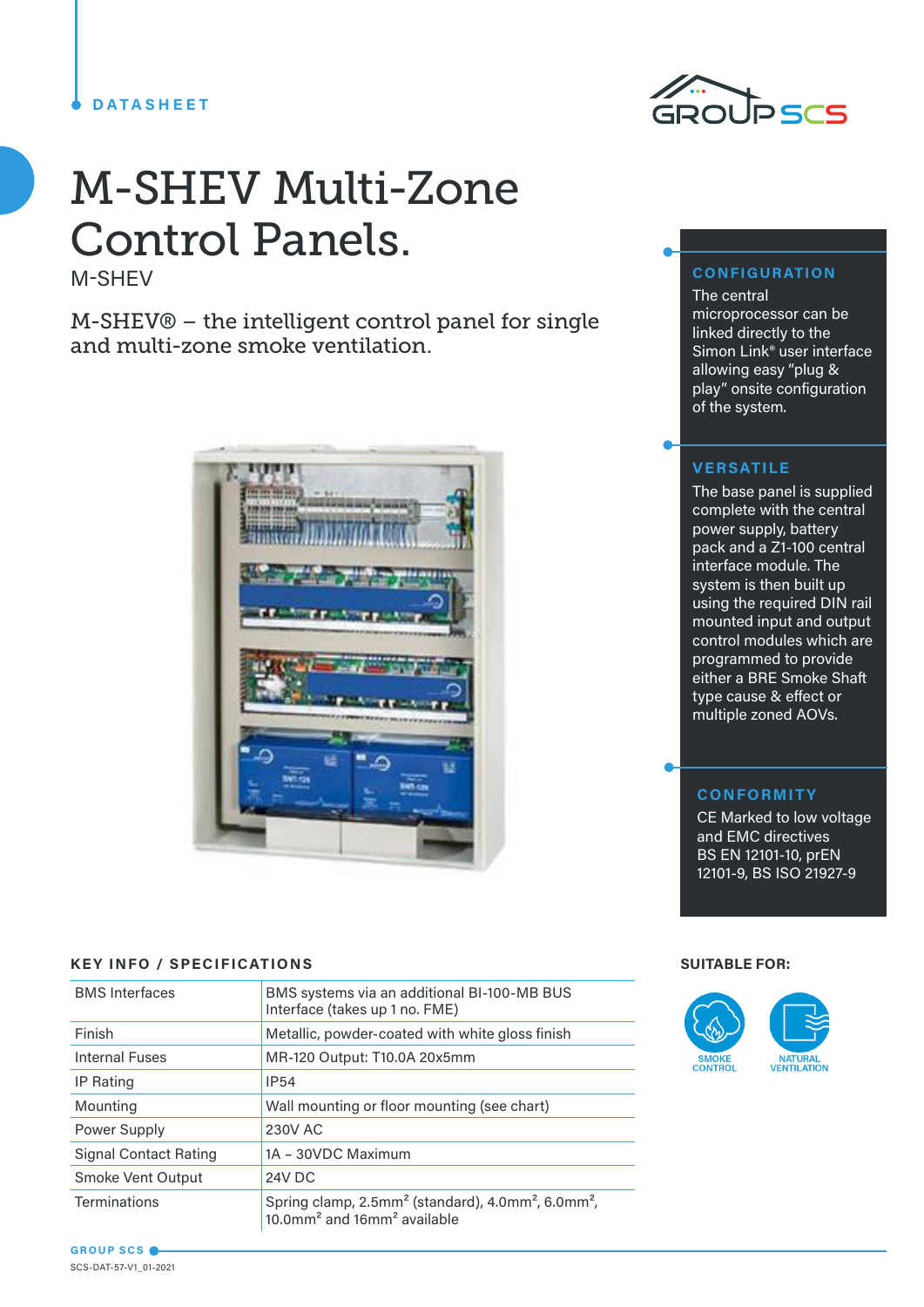# **DATASHEET**



# M-SHEV Multi-Zone Control Panels.

M-SHEV

M-SHEV® – the intelligent control panel for single and multi-zone smoke ventilation.



# **KEY INFO / SPECIFICATIONS SUITABLE FOR:**

| <b>BMS</b> Interfaces        | BMS systems via an additional BI-100-MB BUS<br>Interface (takes up 1 no. FME)                                                                 |  |
|------------------------------|-----------------------------------------------------------------------------------------------------------------------------------------------|--|
| Finish                       | Metallic, powder-coated with white gloss finish                                                                                               |  |
| <b>Internal Fuses</b>        | MR-120 Output: T10.0A 20x5mm                                                                                                                  |  |
| IP Rating                    | <b>IP54</b>                                                                                                                                   |  |
| Mounting                     | Wall mounting or floor mounting (see chart)                                                                                                   |  |
| Power Supply                 | 230V AC                                                                                                                                       |  |
| <b>Signal Contact Rating</b> | 1A - 30VDC Maximum                                                                                                                            |  |
| Smoke Vent Output            | 24V DC                                                                                                                                        |  |
| <b>Terminations</b>          | Spring clamp, 2.5mm <sup>2</sup> (standard), 4.0mm <sup>2</sup> , 6.0mm <sup>2</sup> ,<br>10.0mm <sup>2</sup> and 16mm <sup>2</sup> available |  |

# **CONFIGURATION**

The central microprocessor can be linked directly to the Simon Link® user interface allowing easy "plug & play" onsite configuration of the system.

# **VERSATILE**

The base panel is supplied complete with the central power supply, battery pack and a Z1-100 central interface module. The system is then built up using the required DIN rail mounted input and output control modules which are programmed to provide either a BRE Smoke Shaft type cause & effect or multiple zoned AOVs.

# **CONFORMITY**

CE Marked to low voltage and EMC directives BS EN 12101-10, prEN 12101-9, BS ISO 21927-9



#### **GROUP SCS** SCS-DAT-57-V1\_01-2021